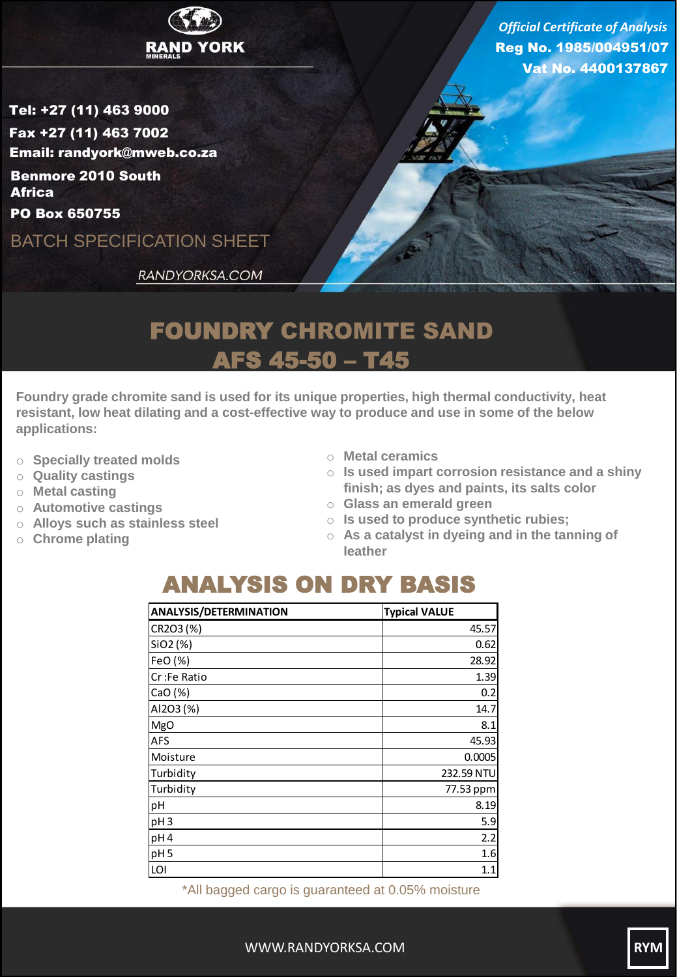

Reg No. 1985/004951/07 Vat No. 4400137867 *Official Certificate of Analysis*

Tel: +27 (11) 463 9000 Fax +27 (11) 463 7002 Email: randyork@mweb.co.za Benmore 2010 South **Africa** 

PO Box 650755

BATCH SPECIFICATION SHEET

RANDYORKSA.COM

## FOUNDRY CHROMITE SAND AFS 45-50 – T45

**Foundry grade chromite sand is used for its unique properties, high thermal conductivity, heat resistant, low heat dilating and a cost-effective way to produce and use in some of the below applications:**

- o **Specially treated molds**
- o **Quality castings**
- o **Metal casting**
- o **Automotive castings**
- o **Alloys such as stainless steel**
- o **Chrome plating**
- o **Metal ceramics**
- o **Is used impart corrosion resistance and a shiny finish; as dyes and paints, its salts color**
- o **Glass an emerald green**
- o **Is used to produce synthetic rubies;**
- o **As a catalyst in dyeing and in the tanning of leather**

## ANALYSIS ON DRY BASIS

| <b>ANALYSIS/DETERMINATION</b> | <b>Typical VALUE</b> |
|-------------------------------|----------------------|
| CR2O3 (%)                     | 45.57                |
| SiO2 (%)                      | 0.62                 |
| FeO (%)                       | 28.92                |
| Cr:Fe Ratio                   | 1.39                 |
| CaO(%)                        | 0.2                  |
| AI2O3 (%)                     | 14.7                 |
| <b>MgO</b>                    | 8.1                  |
| <b>AFS</b>                    | 45.93                |
| Moisture                      | 0.0005               |
| Turbidity                     | 232.59 NTU           |
| Turbidity                     | 77.53 ppm            |
| pH                            | 8.19                 |
| pH <sub>3</sub>               | 5.9                  |
| pH <sub>4</sub>               | 2.2                  |
| pH <sub>5</sub>               | 1.6                  |
| LOI                           | 1.1                  |

\*All bagged cargo is guaranteed at 0.05% moisture